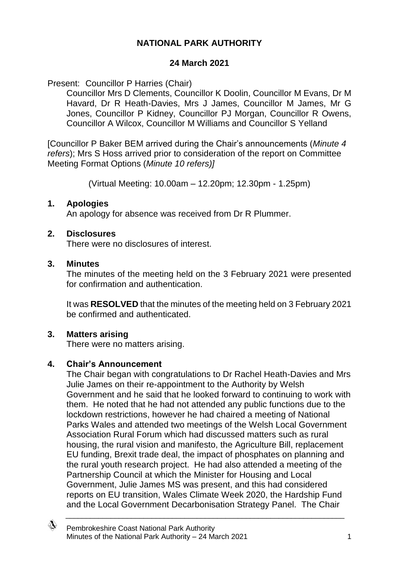# **NATIONAL PARK AUTHORITY**

### **24 March 2021**

Present: Councillor P Harries (Chair)

Councillor Mrs D Clements, Councillor K Doolin, Councillor M Evans, Dr M Havard, Dr R Heath-Davies, Mrs J James, Councillor M James, Mr G Jones, Councillor P Kidney, Councillor PJ Morgan, Councillor R Owens, Councillor A Wilcox, Councillor M Williams and Councillor S Yelland

[Councillor P Baker BEM arrived during the Chair's announcements (*Minute 4 refers*); Mrs S Hoss arrived prior to consideration of the report on Committee Meeting Format Options (*Minute 10 refers)]*

(Virtual Meeting: 10.00am – 12.20pm; 12.30pm - 1.25pm)

### **1. Apologies**

An apology for absence was received from Dr R Plummer.

### **2. Disclosures**

There were no disclosures of interest.

### **3. Minutes**

The minutes of the meeting held on the 3 February 2021 were presented for confirmation and authentication.

It was **RESOLVED** that the minutes of the meeting held on 3 February 2021 be confirmed and authenticated.

# **3. Matters arising**

There were no matters arising.

# **4. Chair's Announcement**

The Chair began with congratulations to Dr Rachel Heath-Davies and Mrs Julie James on their re-appointment to the Authority by Welsh Government and he said that he looked forward to continuing to work with them. He noted that he had not attended any public functions due to the lockdown restrictions, however he had chaired a meeting of National Parks Wales and attended two meetings of the Welsh Local Government Association Rural Forum which had discussed matters such as rural housing, the rural vision and manifesto, the Agriculture Bill, replacement EU funding, Brexit trade deal, the impact of phosphates on planning and the rural youth research project. He had also attended a meeting of the Partnership Council at which the Minister for Housing and Local Government, Julie James MS was present, and this had considered reports on EU transition, Wales Climate Week 2020, the Hardship Fund and the Local Government Decarbonisation Strategy Panel. The Chair

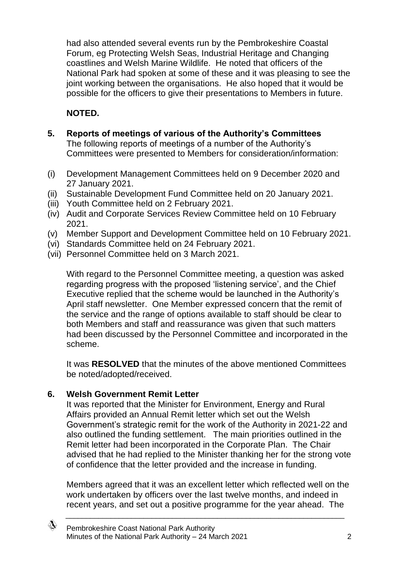had also attended several events run by the Pembrokeshire Coastal Forum, eg Protecting Welsh Seas, Industrial Heritage and Changing coastlines and Welsh Marine Wildlife. He noted that officers of the National Park had spoken at some of these and it was pleasing to see the joint working between the organisations. He also hoped that it would be possible for the officers to give their presentations to Members in future.

# **NOTED.**

- **5. Reports of meetings of various of the Authority's Committees** The following reports of meetings of a number of the Authority's Committees were presented to Members for consideration/information:
- (i) Development Management Committees held on 9 December 2020 and 27 January 2021.
- (ii) Sustainable Development Fund Committee held on 20 January 2021.
- (iii) Youth Committee held on 2 February 2021.
- (iv) Audit and Corporate Services Review Committee held on 10 February 2021.
- (v) Member Support and Development Committee held on 10 February 2021.
- (vi) Standards Committee held on 24 February 2021.
- (vii) Personnel Committee held on 3 March 2021.

With regard to the Personnel Committee meeting, a question was asked regarding progress with the proposed 'listening service', and the Chief Executive replied that the scheme would be launched in the Authority's April staff newsletter. One Member expressed concern that the remit of the service and the range of options available to staff should be clear to both Members and staff and reassurance was given that such matters had been discussed by the Personnel Committee and incorporated in the scheme.

It was **RESOLVED** that the minutes of the above mentioned Committees be noted/adopted/received.

# **6. Welsh Government Remit Letter**

It was reported that the Minister for Environment, Energy and Rural Affairs provided an Annual Remit letter which set out the Welsh Government's strategic remit for the work of the Authority in 2021-22 and also outlined the funding settlement. The main priorities outlined in the Remit letter had been incorporated in the Corporate Plan. The Chair advised that he had replied to the Minister thanking her for the strong vote of confidence that the letter provided and the increase in funding.

Members agreed that it was an excellent letter which reflected well on the work undertaken by officers over the last twelve months, and indeed in recent years, and set out a positive programme for the year ahead. The

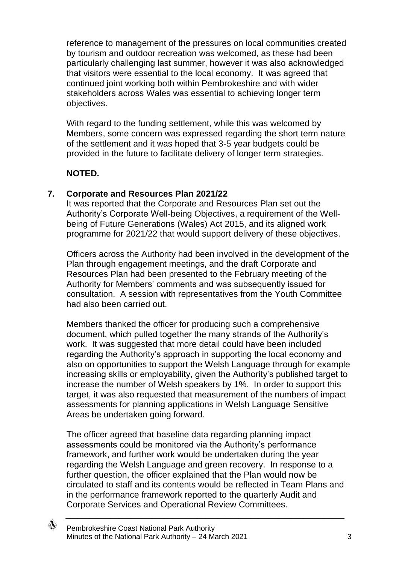reference to management of the pressures on local communities created by tourism and outdoor recreation was welcomed, as these had been particularly challenging last summer, however it was also acknowledged that visitors were essential to the local economy. It was agreed that continued joint working both within Pembrokeshire and with wider stakeholders across Wales was essential to achieving longer term objectives.

With regard to the funding settlement, while this was welcomed by Members, some concern was expressed regarding the short term nature of the settlement and it was hoped that 3-5 year budgets could be provided in the future to facilitate delivery of longer term strategies.

### **NOTED.**

### **7. Corporate and Resources Plan 2021/22**

It was reported that the Corporate and Resources Plan set out the Authority's Corporate Well-being Objectives, a requirement of the Wellbeing of Future Generations (Wales) Act 2015, and its aligned work programme for 2021/22 that would support delivery of these objectives.

Officers across the Authority had been involved in the development of the Plan through engagement meetings, and the draft Corporate and Resources Plan had been presented to the February meeting of the Authority for Members' comments and was subsequently issued for consultation. A session with representatives from the Youth Committee had also been carried out.

Members thanked the officer for producing such a comprehensive document, which pulled together the many strands of the Authority's work. It was suggested that more detail could have been included regarding the Authority's approach in supporting the local economy and also on opportunities to support the Welsh Language through for example increasing skills or employability, given the Authority's published target to increase the number of Welsh speakers by 1%. In order to support this target, it was also requested that measurement of the numbers of impact assessments for planning applications in Welsh Language Sensitive Areas be undertaken going forward.

The officer agreed that baseline data regarding planning impact assessments could be monitored via the Authority's performance framework, and further work would be undertaken during the year regarding the Welsh Language and green recovery. In response to a further question, the officer explained that the Plan would now be circulated to staff and its contents would be reflected in Team Plans and in the performance framework reported to the quarterly Audit and Corporate Services and Operational Review Committees.

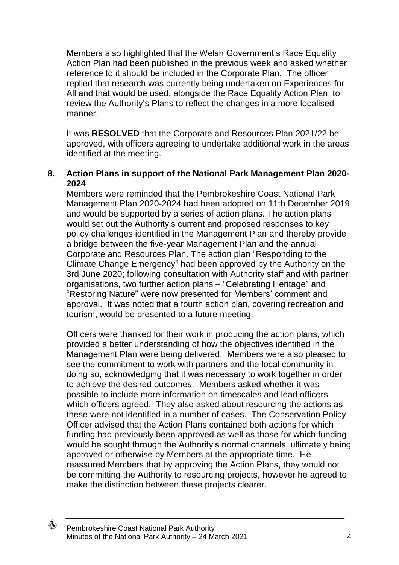Members also highlighted that the Welsh Government's Race Equality Action Plan had been published in the previous week and asked whether reference to it should be included in the Corporate Plan. The officer replied that research was currently being undertaken on Experiences for All and that would be used, alongside the Race Equality Action Plan, to review the Authority's Plans to reflect the changes in a more localised manner.

It was **RESOLVED** that the Corporate and Resources Plan 2021/22 be approved, with officers agreeing to undertake additional work in the areas identified at the meeting.

#### **8. Action Plans in support of the National Park Management Plan 2020- 2024**

Members were reminded that the Pembrokeshire Coast National Park Management Plan 2020-2024 had been adopted on 11th December 2019 and would be supported by a series of action plans. The action plans would set out the Authority's current and proposed responses to key policy challenges identified in the Management Plan and thereby provide a bridge between the five-year Management Plan and the annual Corporate and Resources Plan. The action plan "Responding to the Climate Change Emergency" had been approved by the Authority on the 3rd June 2020; following consultation with Authority staff and with partner organisations, two further action plans – "Celebrating Heritage" and "Restoring Nature" were now presented for Members' comment and approval. It was noted that a fourth action plan, covering recreation and tourism, would be presented to a future meeting.

Officers were thanked for their work in producing the action plans, which provided a better understanding of how the objectives identified in the Management Plan were being delivered. Members were also pleased to see the commitment to work with partners and the local community in doing so, acknowledging that it was necessary to work together in order to achieve the desired outcomes. Members asked whether it was possible to include more information on timescales and lead officers which officers agreed. They also asked about resourcing the actions as these were not identified in a number of cases. The Conservation Policy Officer advised that the Action Plans contained both actions for which funding had previously been approved as well as those for which funding would be sought through the Authority's normal channels, ultimately being approved or otherwise by Members at the appropriate time. He reassured Members that by approving the Action Plans, they would not be committing the Authority to resourcing projects, however he agreed to make the distinction between these projects clearer.

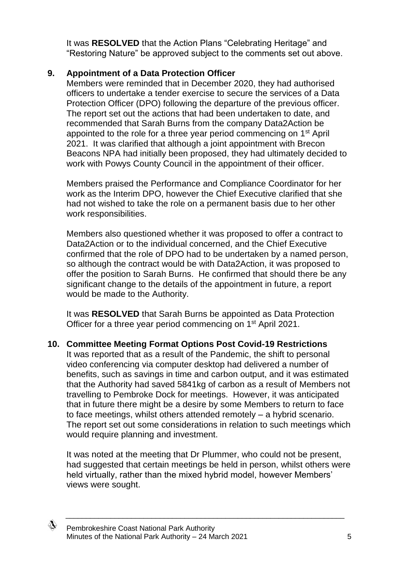It was **RESOLVED** that the Action Plans "Celebrating Heritage" and "Restoring Nature" be approved subject to the comments set out above.

# **9. Appointment of a Data Protection Officer**

Members were reminded that in December 2020, they had authorised officers to undertake a tender exercise to secure the services of a Data Protection Officer (DPO) following the departure of the previous officer. The report set out the actions that had been undertaken to date, and recommended that Sarah Burns from the company Data2Action be appointed to the role for a three year period commencing on 1<sup>st</sup> April 2021. It was clarified that although a joint appointment with Brecon Beacons NPA had initially been proposed, they had ultimately decided to work with Powys County Council in the appointment of their officer.

Members praised the Performance and Compliance Coordinator for her work as the Interim DPO, however the Chief Executive clarified that she had not wished to take the role on a permanent basis due to her other work responsibilities.

Members also questioned whether it was proposed to offer a contract to Data2Action or to the individual concerned, and the Chief Executive confirmed that the role of DPO had to be undertaken by a named person, so although the contract would be with Data2Action, it was proposed to offer the position to Sarah Burns. He confirmed that should there be any significant change to the details of the appointment in future, a report would be made to the Authority.

It was **RESOLVED** that Sarah Burns be appointed as Data Protection Officer for a three year period commencing on 1<sup>st</sup> April 2021.

# **10. Committee Meeting Format Options Post Covid-19 Restrictions**

It was reported that as a result of the Pandemic, the shift to personal video conferencing via computer desktop had delivered a number of benefits, such as savings in time and carbon output, and it was estimated that the Authority had saved 5841kg of carbon as a result of Members not travelling to Pembroke Dock for meetings. However, it was anticipated that in future there might be a desire by some Members to return to face to face meetings, whilst others attended remotely – a hybrid scenario. The report set out some considerations in relation to such meetings which would require planning and investment.

It was noted at the meeting that Dr Plummer, who could not be present, had suggested that certain meetings be held in person, whilst others were held virtually, rather than the mixed hybrid model, however Members' views were sought.

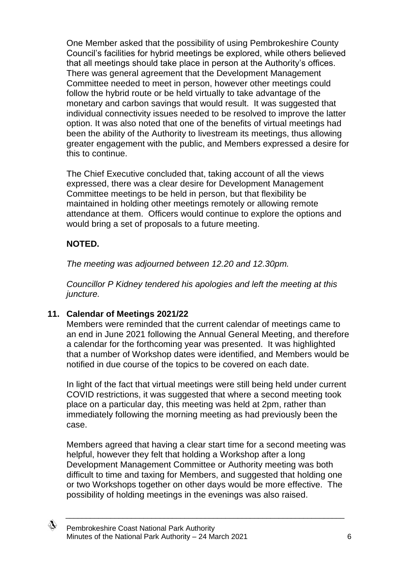One Member asked that the possibility of using Pembrokeshire County Council's facilities for hybrid meetings be explored, while others believed that all meetings should take place in person at the Authority's offices. There was general agreement that the Development Management Committee needed to meet in person, however other meetings could follow the hybrid route or be held virtually to take advantage of the monetary and carbon savings that would result. It was suggested that individual connectivity issues needed to be resolved to improve the latter option. It was also noted that one of the benefits of virtual meetings had been the ability of the Authority to livestream its meetings, thus allowing greater engagement with the public, and Members expressed a desire for this to continue.

The Chief Executive concluded that, taking account of all the views expressed, there was a clear desire for Development Management Committee meetings to be held in person, but that flexibility be maintained in holding other meetings remotely or allowing remote attendance at them. Officers would continue to explore the options and would bring a set of proposals to a future meeting.

### **NOTED.**

*The meeting was adjourned between 12.20 and 12.30pm.* 

*Councillor P Kidney tendered his apologies and left the meeting at this juncture.*

### **11. Calendar of Meetings 2021/22**

Members were reminded that the current calendar of meetings came to an end in June 2021 following the Annual General Meeting, and therefore a calendar for the forthcoming year was presented. It was highlighted that a number of Workshop dates were identified, and Members would be notified in due course of the topics to be covered on each date.

In light of the fact that virtual meetings were still being held under current COVID restrictions, it was suggested that where a second meeting took place on a particular day, this meeting was held at 2pm, rather than immediately following the morning meeting as had previously been the case.

Members agreed that having a clear start time for a second meeting was helpful, however they felt that holding a Workshop after a long Development Management Committee or Authority meeting was both difficult to time and taxing for Members, and suggested that holding one or two Workshops together on other days would be more effective. The possibility of holding meetings in the evenings was also raised.

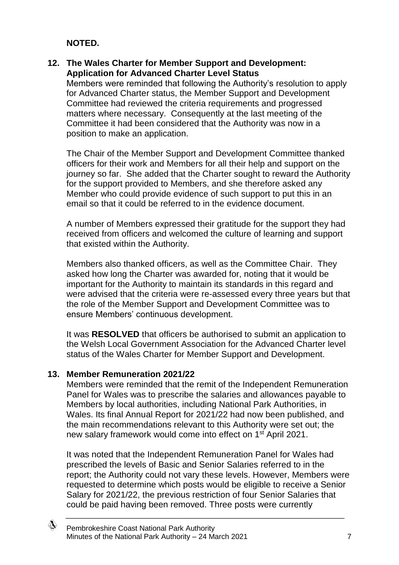### **NOTED.**

### **12. The Wales Charter for Member Support and Development: Application for Advanced Charter Level Status**

Members were reminded that following the Authority's resolution to apply for Advanced Charter status, the Member Support and Development Committee had reviewed the criteria requirements and progressed matters where necessary. Consequently at the last meeting of the Committee it had been considered that the Authority was now in a position to make an application.

The Chair of the Member Support and Development Committee thanked officers for their work and Members for all their help and support on the journey so far. She added that the Charter sought to reward the Authority for the support provided to Members, and she therefore asked any Member who could provide evidence of such support to put this in an email so that it could be referred to in the evidence document.

A number of Members expressed their gratitude for the support they had received from officers and welcomed the culture of learning and support that existed within the Authority.

Members also thanked officers, as well as the Committee Chair. They asked how long the Charter was awarded for, noting that it would be important for the Authority to maintain its standards in this regard and were advised that the criteria were re-assessed every three years but that the role of the Member Support and Development Committee was to ensure Members' continuous development.

It was **RESOLVED** that officers be authorised to submit an application to the Welsh Local Government Association for the Advanced Charter level status of the Wales Charter for Member Support and Development.

### **13. Member Remuneration 2021/22**

Members were reminded that the remit of the Independent Remuneration Panel for Wales was to prescribe the salaries and allowances payable to Members by local authorities, including National Park Authorities, in Wales. Its final Annual Report for 2021/22 had now been published, and the main recommendations relevant to this Authority were set out; the new salary framework would come into effect on 1<sup>st</sup> April 2021.

It was noted that the Independent Remuneration Panel for Wales had prescribed the levels of Basic and Senior Salaries referred to in the report; the Authority could not vary these levels. However, Members were requested to determine which posts would be eligible to receive a Senior Salary for 2021/22, the previous restriction of four Senior Salaries that could be paid having been removed. Three posts were currently

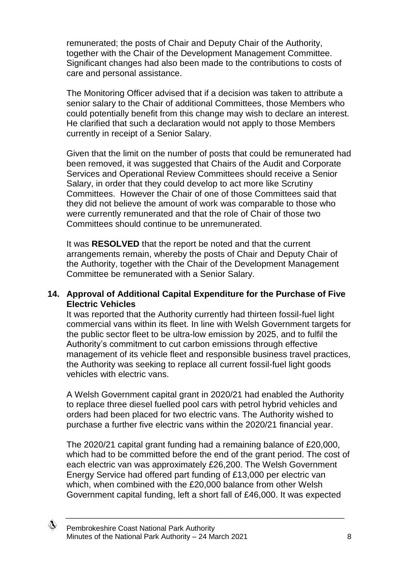remunerated; the posts of Chair and Deputy Chair of the Authority, together with the Chair of the Development Management Committee. Significant changes had also been made to the contributions to costs of care and personal assistance.

The Monitoring Officer advised that if a decision was taken to attribute a senior salary to the Chair of additional Committees, those Members who could potentially benefit from this change may wish to declare an interest. He clarified that such a declaration would not apply to those Members currently in receipt of a Senior Salary.

Given that the limit on the number of posts that could be remunerated had been removed, it was suggested that Chairs of the Audit and Corporate Services and Operational Review Committees should receive a Senior Salary, in order that they could develop to act more like Scrutiny Committees. However the Chair of one of those Committees said that they did not believe the amount of work was comparable to those who were currently remunerated and that the role of Chair of those two Committees should continue to be unremunerated.

It was **RESOLVED** that the report be noted and that the current arrangements remain, whereby the posts of Chair and Deputy Chair of the Authority, together with the Chair of the Development Management Committee be remunerated with a Senior Salary.

### **14. Approval of Additional Capital Expenditure for the Purchase of Five Electric Vehicles**

It was reported that the Authority currently had thirteen fossil-fuel light commercial vans within its fleet. In line with Welsh Government targets for the public sector fleet to be ultra-low emission by 2025, and to fulfil the Authority's commitment to cut carbon emissions through effective management of its vehicle fleet and responsible business travel practices, the Authority was seeking to replace all current fossil-fuel light goods vehicles with electric vans.

A Welsh Government capital grant in 2020/21 had enabled the Authority to replace three diesel fuelled pool cars with petrol hybrid vehicles and orders had been placed for two electric vans. The Authority wished to purchase a further five electric vans within the 2020/21 financial year.

The 2020/21 capital grant funding had a remaining balance of £20,000, which had to be committed before the end of the grant period. The cost of each electric van was approximately £26,200. The Welsh Government Energy Service had offered part funding of £13,000 per electric van which, when combined with the £20,000 balance from other Welsh Government capital funding, left a short fall of £46,000. It was expected